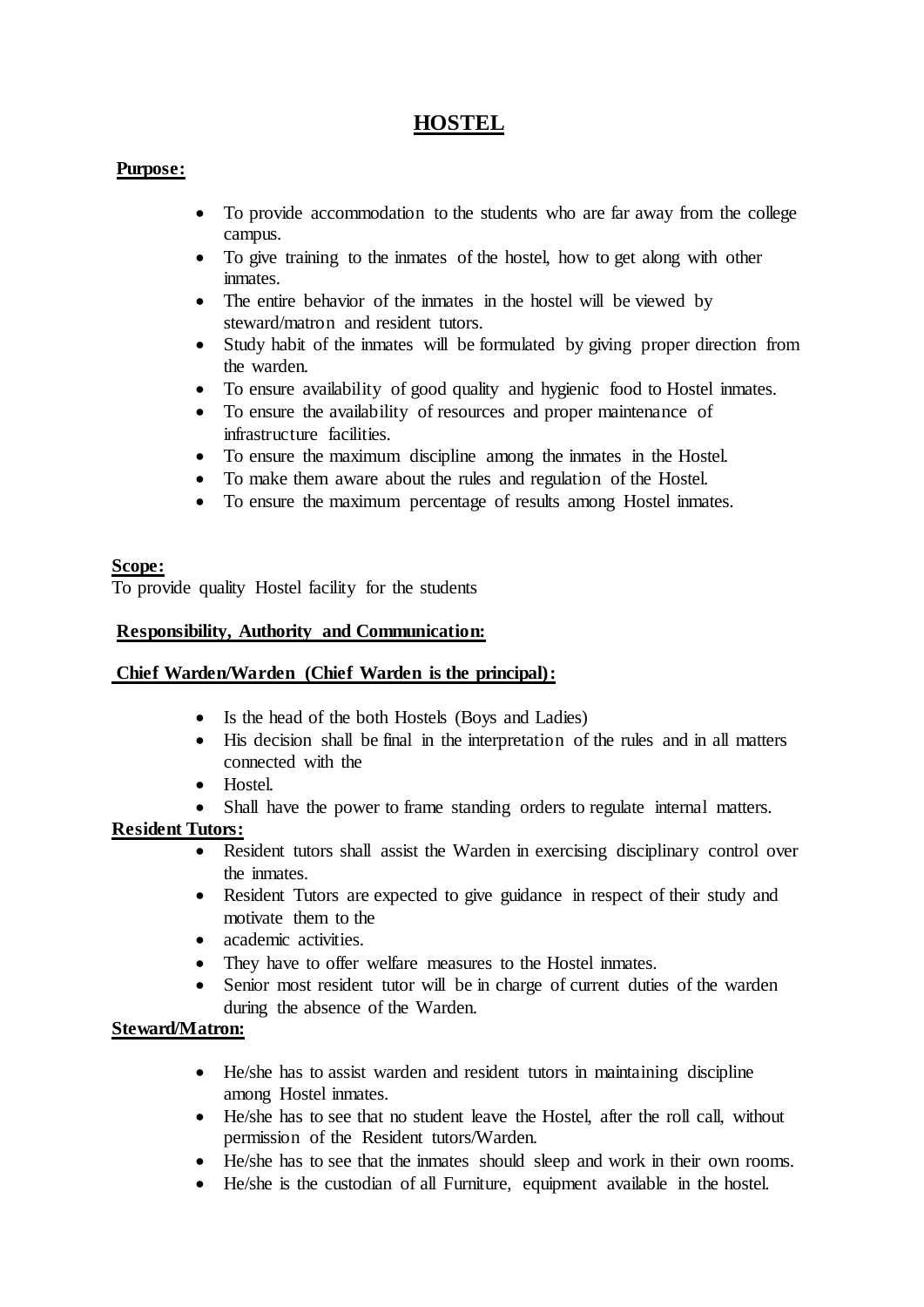# **HOSTEL**

# **Purpose:**

- To provide accommodation to the students who are far away from the college campus.
- To give training to the inmates of the hostel, how to get along with other inmates.
- The entire behavior of the inmates in the hostel will be viewed by steward/matron and resident tutors.
- Study habit of the inmates will be formulated by giving proper direction from the warden.
- To ensure availability of good quality and hygienic food to Hostel inmates.
- To ensure the availability of resources and proper maintenance of infrastructure facilities.
- To ensure the maximum discipline among the inmates in the Hostel.
- To make them aware about the rules and regulation of the Hostel.
- To ensure the maximum percentage of results among Hostel inmates.

# **Scope:**

To provide quality Hostel facility for the students

# **Responsibility, Authority and Communication:**

## **Chief Warden/Warden (Chief Warden is the principal):**

- Is the head of the both Hostels (Boys and Ladies)
- His decision shall be final in the interpretation of the rules and in all matters connected with the
- Hostel.
- Shall have the power to frame standing orders to regulate internal matters.

# **Resident Tutors:**

- Resident tutors shall assist the Warden in exercising disciplinary control over the inmates.
- Resident Tutors are expected to give guidance in respect of their study and motivate them to the
- academic activities.
- They have to offer welfare measures to the Hostel inmates.
- Senior most resident tutor will be in charge of current duties of the warden during the absence of the Warden.

## **Steward/Matron:**

- He/she has to assist warden and resident tutors in maintaining discipline among Hostel inmates.
- He/she has to see that no student leave the Hostel, after the roll call, without permission of the Resident tutors/Warden.
- He/she has to see that the inmates should sleep and work in their own rooms.
- He/she is the custodian of all Furniture, equipment available in the hostel.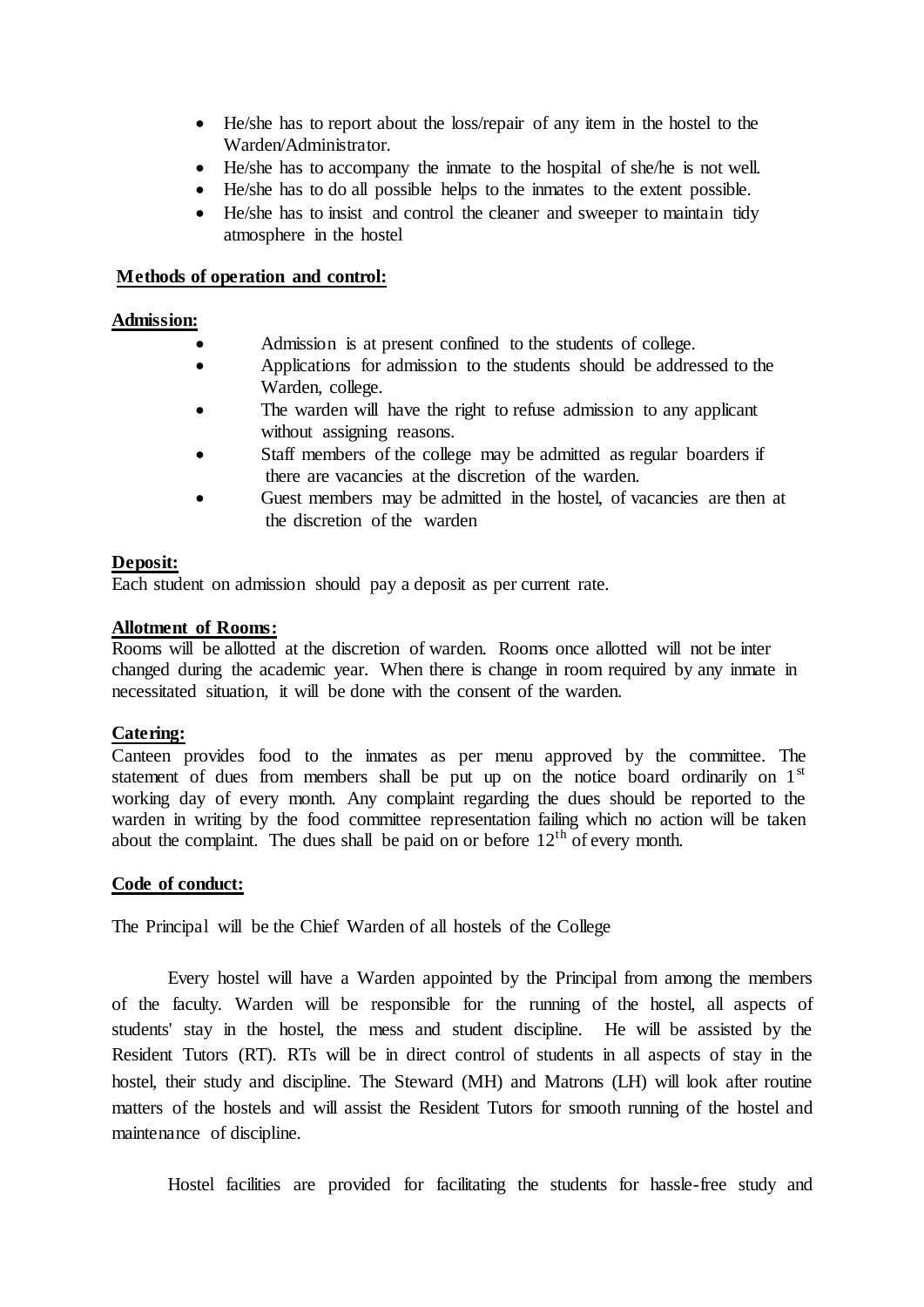- He/she has to report about the loss/repair of any item in the hostel to the Warden/Administrator.
- He/she has to accompany the inmate to the hospital of she/he is not well.
- He/she has to do all possible helps to the inmates to the extent possible.
- He/she has to insist and control the cleaner and sweeper to maintain tidy atmosphere in the hostel

#### **Methods of operation and control:**

#### **Admission:**

- Admission is at present confined to the students of college.
- Applications for admission to the students should be addressed to the Warden, college.
- The warden will have the right to refuse admission to any applicant without assigning reasons.
- Staff members of the college may be admitted as regular boarders if there are vacancies at the discretion of the warden.
- Guest members may be admitted in the hostel, of vacancies are then at the discretion of the warden

## **Deposit:**

Each student on admission should pay a deposit as per current rate.

#### **Allotment of Rooms:**

Rooms will be allotted at the discretion of warden. Rooms once allotted will not be inter changed during the academic year. When there is change in room required by any inmate in necessitated situation, it will be done with the consent of the warden.

## **Catering:**

Canteen provides food to the inmates as per menu approved by the committee. The statement of dues from members shall be put up on the notice board ordinarily on  $1<sup>st</sup>$ working day of every month. Any complaint regarding the dues should be reported to the warden in writing by the food committee representation failing which no action will be taken about the complaint. The dues shall be paid on or before  $12<sup>th</sup>$  of every month.

#### **Code of conduct:**

The Principal will be the Chief Warden of all hostels of the College

Every hostel will have a Warden appointed by the Principal from among the members of the faculty. Warden will be responsible for the running of the hostel, all aspects of students' stay in the hostel, the mess and student discipline. He will be assisted by the Resident Tutors (RT). RTs will be in direct control of students in all aspects of stay in the hostel, their study and discipline. The Steward (MH) and Matrons (LH) will look after routine matters of the hostels and will assist the Resident Tutors for smooth running of the hostel and maintenance of discipline.

Hostel facilities are provided for facilitating the students for hassle-free study and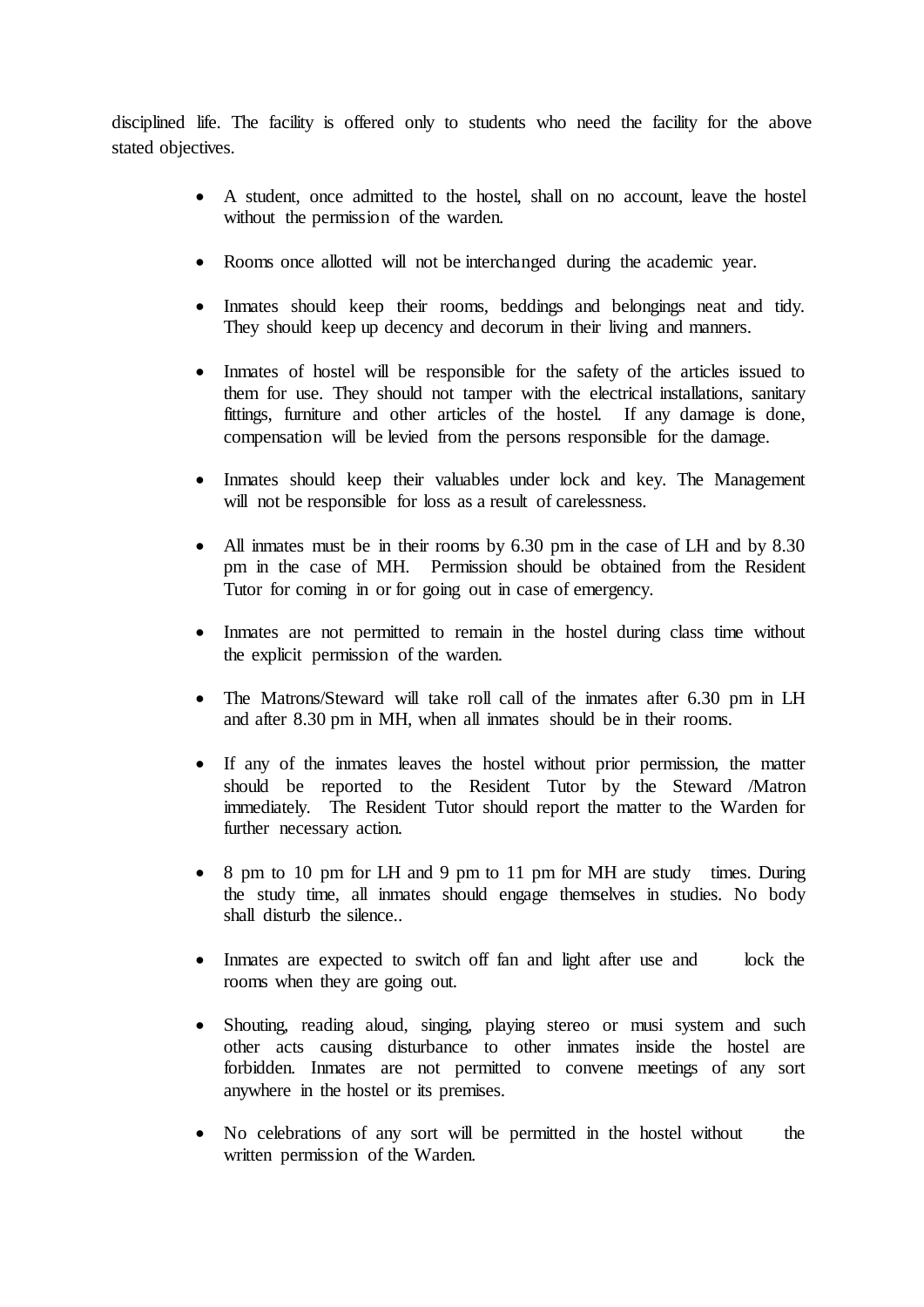disciplined life. The facility is offered only to students who need the facility for the above stated objectives.

- A student, once admitted to the hostel, shall on no account, leave the hostel without the permission of the warden.
- Rooms once allotted will not be interchanged during the academic year.
- Inmates should keep their rooms, beddings and belongings neat and tidy. They should keep up decency and decorum in their living and manners.
- Inmates of hostel will be responsible for the safety of the articles issued to them for use. They should not tamper with the electrical installations, sanitary fittings, furniture and other articles of the hostel. If any damage is done, compensation will be levied from the persons responsible for the damage.
- Inmates should keep their valuables under lock and key. The Management will not be responsible for loss as a result of carelessness.
- All inmates must be in their rooms by 6.30 pm in the case of LH and by 8.30 pm in the case of MH. Permission should be obtained from the Resident Tutor for coming in or for going out in case of emergency.
- Inmates are not permitted to remain in the hostel during class time without the explicit permission of the warden.
- The Matrons/Steward will take roll call of the inmates after 6.30 pm in LH and after 8.30 pm in MH, when all inmates should be in their rooms.
- If any of the inmates leaves the hostel without prior permission, the matter should be reported to the Resident Tutor by the Steward /Matron immediately. The Resident Tutor should report the matter to the Warden for further necessary action.
- 8 pm to 10 pm for LH and 9 pm to 11 pm for MH are study times. During the study time, all inmates should engage themselves in studies. No body shall disturb the silence..
- Inmates are expected to switch off fan and light after use and lock the rooms when they are going out.
- Shouting, reading aloud, singing, playing stereo or musi system and such other acts causing disturbance to other inmates inside the hostel are forbidden. Inmates are not permitted to convene meetings of any sort anywhere in the hostel or its premises.
- No celebrations of any sort will be permitted in the hostel without the written permission of the Warden.